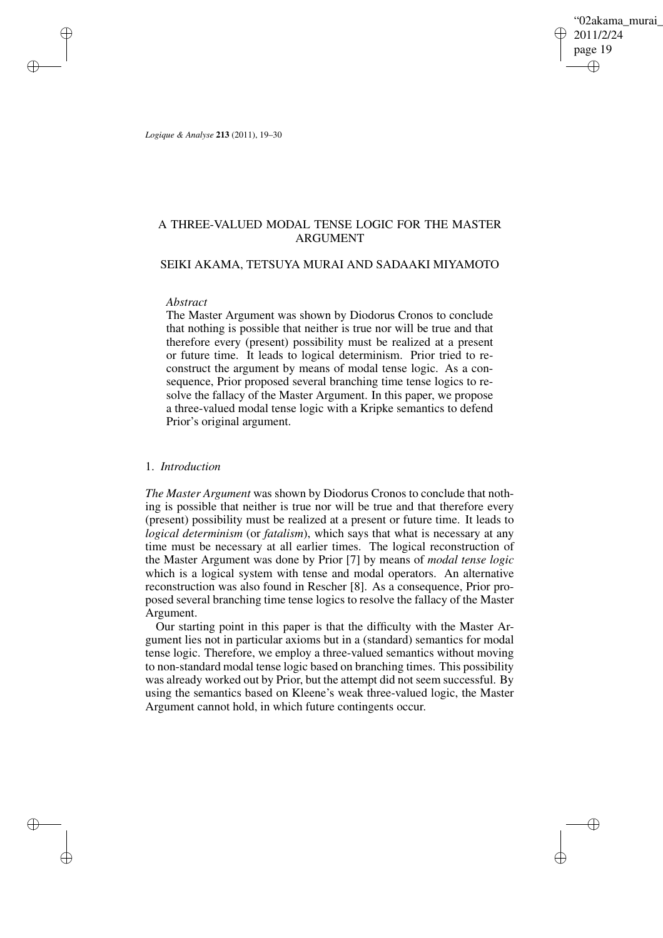'02akama\_murai 2011/2/24 page 19 ✐ ✐

✐

✐

*Logique & Analyse* **213** (2011), 19–30

✐

✐

✐

✐

# A THREE-VALUED MODAL TENSE LOGIC FOR THE MASTER ARGUMENT

# SEIKI AKAMA, TETSUYA MURAI AND SADAAKI MIYAMOTO

## *Abstract*

The Master Argument was shown by Diodorus Cronos to conclude that nothing is possible that neither is true nor will be true and that therefore every (present) possibility must be realized at a present or future time. It leads to logical determinism. Prior tried to reconstruct the argument by means of modal tense logic. As a consequence, Prior proposed several branching time tense logics to resolve the fallacy of the Master Argument. In this paper, we propose a three-valued modal tense logic with a Kripke semantics to defend Prior's original argument.

# 1. *Introduction*

*The Master Argument* was shown by Diodorus Cronos to conclude that nothing is possible that neither is true nor will be true and that therefore every (present) possibility must be realized at a present or future time. It leads to *logical determinism* (or *fatalism*), which says that what is necessary at any time must be necessary at all earlier times. The logical reconstruction of the Master Argument was done by Prior [7] by means of *modal tense logic* which is a logical system with tense and modal operators. An alternative reconstruction was also found in Rescher [8]. As a consequence, Prior proposed several branching time tense logics to resolve the fallacy of the Master Argument.

Our starting point in this paper is that the difficulty with the Master Argument lies not in particular axioms but in a (standard) semantics for modal tense logic. Therefore, we employ a three-valued semantics without moving to non-standard modal tense logic based on branching times. This possibility was already worked out by Prior, but the attempt did not seem successful. By using the semantics based on Kleene's weak three-valued logic, the Master Argument cannot hold, in which future contingents occur.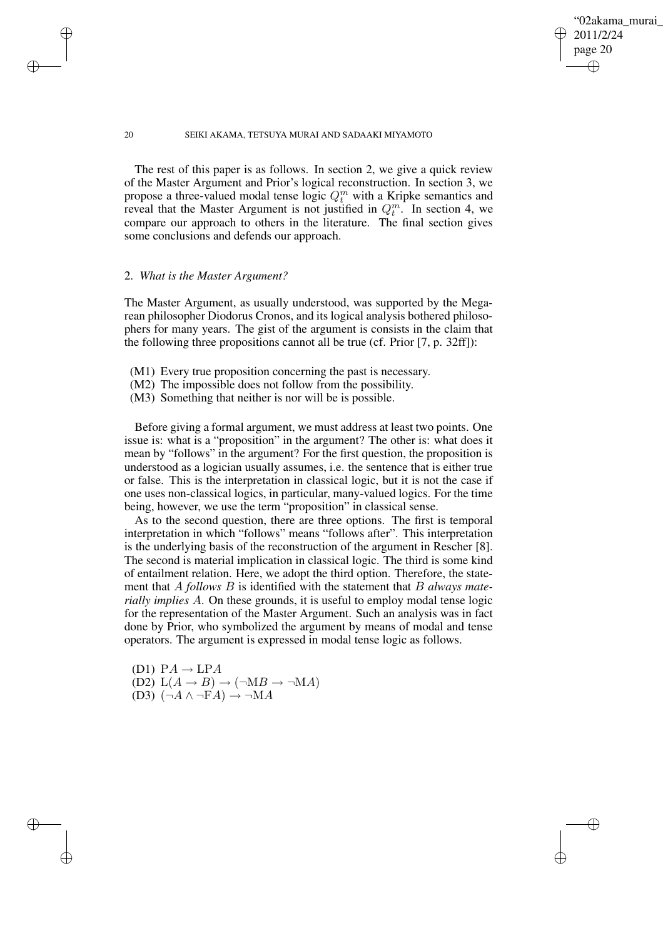✐

#### 20 SEIKI AKAMA, TETSUYA MURAI AND SADAAKI MIYAMOTO

The rest of this paper is as follows. In section 2, we give a quick review of the Master Argument and Prior's logical reconstruction. In section 3, we propose a three-valued modal tense logic  $Q_t^m$  with a Kripke semantics and reveal that the Master Argument is not justified in  $Q_t^m$ . In section 4, we compare our approach to others in the literature. The final section gives some conclusions and defends our approach.

## 2. *What is the Master Argument?*

✐

✐

✐

✐

The Master Argument, as usually understood, was supported by the Megarean philosopher Diodorus Cronos, and its logical analysis bothered philosophers for many years. The gist of the argument is consists in the claim that the following three propositions cannot all be true (cf. Prior [7, p. 32ff]):

- (M1) Every true proposition concerning the past is necessary.
- (M2) The impossible does not follow from the possibility.
- (M3) Something that neither is nor will be is possible.

Before giving a formal argument, we must address at least two points. One issue is: what is a "proposition" in the argument? The other is: what does it mean by "follows" in the argument? For the first question, the proposition is understood as a logician usually assumes, i.e. the sentence that is either true or false. This is the interpretation in classical logic, but it is not the case if one uses non-classical logics, in particular, many-valued logics. For the time being, however, we use the term "proposition" in classical sense.

As to the second question, there are three options. The first is temporal interpretation in which "follows" means "follows after". This interpretation is the underlying basis of the reconstruction of the argument in Rescher [8]. The second is material implication in classical logic. The third is some kind of entailment relation. Here, we adopt the third option. Therefore, the statement that A *follows* B is identified with the statement that B *always materially implies* A. On these grounds, it is useful to employ modal tense logic for the representation of the Master Argument. Such an analysis was in fact done by Prior, who symbolized the argument by means of modal and tense operators. The argument is expressed in modal tense logic as follows.

(D1)  $PA \rightarrow LPA$ (D2)  $L(A \rightarrow B) \rightarrow (\neg MB \rightarrow \neg MA)$ (D3)  $(\neg A \land \neg FA) \rightarrow \neg MA$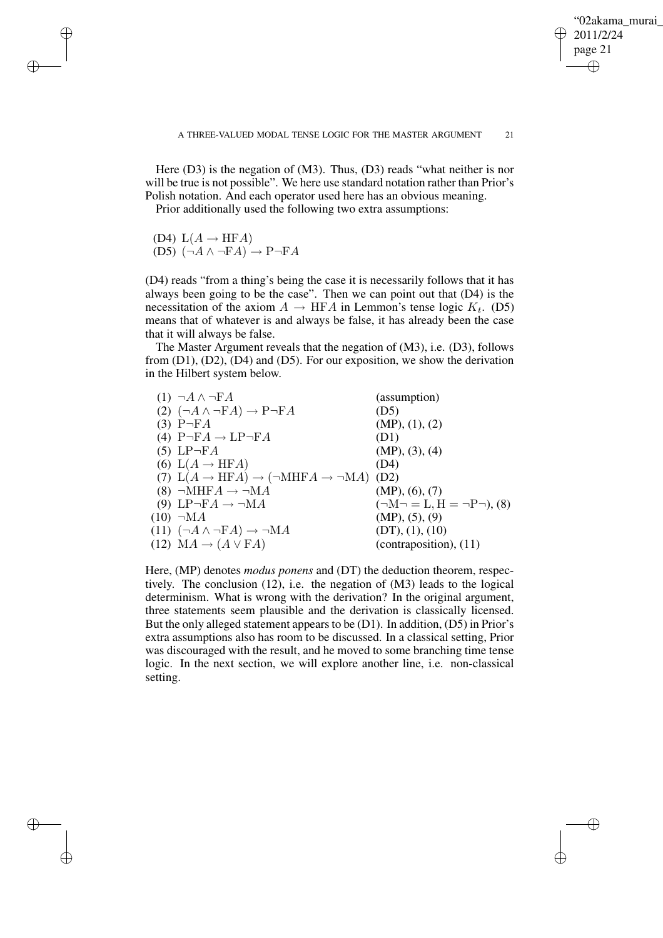'02akama\_murai 2011/2/24 page 21 ✐ ✐

✐

✐

Here (D3) is the negation of (M3). Thus, (D3) reads "what neither is nor will be true is not possible". We here use standard notation rather than Prior's Polish notation. And each operator used here has an obvious meaning.

Prior additionally used the following two extra assumptions:

(D4)  $L(A \rightarrow HFA)$ 

✐

✐

✐

✐

 $(D5)$   $(\neg A \land \neg FA) \rightarrow P\neg FA$ 

(D4) reads "from a thing's being the case it is necessarily follows that it has always been going to be the case". Then we can point out that (D4) is the necessitation of the axiom  $A \to \text{HFA}$  in Lemmon's tense logic  $K_t$ . (D5) means that of whatever is and always be false, it has already been the case that it will always be false.

The Master Argument reveals that the negation of (M3), i.e. (D3), follows from  $(D1)$ ,  $(D2)$ ,  $(D4)$  and  $(D5)$ . For our exposition, we show the derivation in the Hilbert system below.

| $(1) \neg A \wedge \neg FA$                                                  | (assumption)                              |
|------------------------------------------------------------------------------|-------------------------------------------|
| (2) $(\neg A \land \neg FA) \rightarrow P \neg FA$                           | (D5)                                      |
| $(3)$ P $\neg$ FA                                                            | (MP), (1), (2)                            |
| (4) $P\neg FA \rightarrow LP \neg FA$                                        | (D1)                                      |
| $(5)$ LP $\neg$ FA                                                           | (MP), (3), (4)                            |
| (6) $L(A \rightarrow HFA)$                                                   | (D4)                                      |
| (7) $L(A \rightarrow HFA) \rightarrow (\neg MHF A \rightarrow \neg MA)$ (D2) |                                           |
| $(8) \neg \text{MHFA} \rightarrow \neg \text{MA}$                            | (MP), (6), (7)                            |
| (9) LP $\neg$ FA $\rightarrow \neg MA$                                       | $(\neg M \neg = L, H = \neg P \neg), (8)$ |
| $(10) \neg MA$                                                               | (MP), (5), (9)                            |
| $(11)$ $(\neg A \land \neg FA) \rightarrow \neg MA$                          | (DT), (1), (10)                           |
| $(12) MA \rightarrow (A \vee FA)$                                            | $(contraposition)$ , $(11)$               |
|                                                                              |                                           |

Here, (MP) denotes *modus ponens* and (DT) the deduction theorem, respectively. The conclusion (12), i.e. the negation of (M3) leads to the logical determinism. What is wrong with the derivation? In the original argument, three statements seem plausible and the derivation is classically licensed. But the only alleged statement appears to be  $(D1)$ . In addition,  $(D5)$  in Prior's extra assumptions also has room to be discussed. In a classical setting, Prior was discouraged with the result, and he moved to some branching time tense logic. In the next section, we will explore another line, i.e. non-classical setting.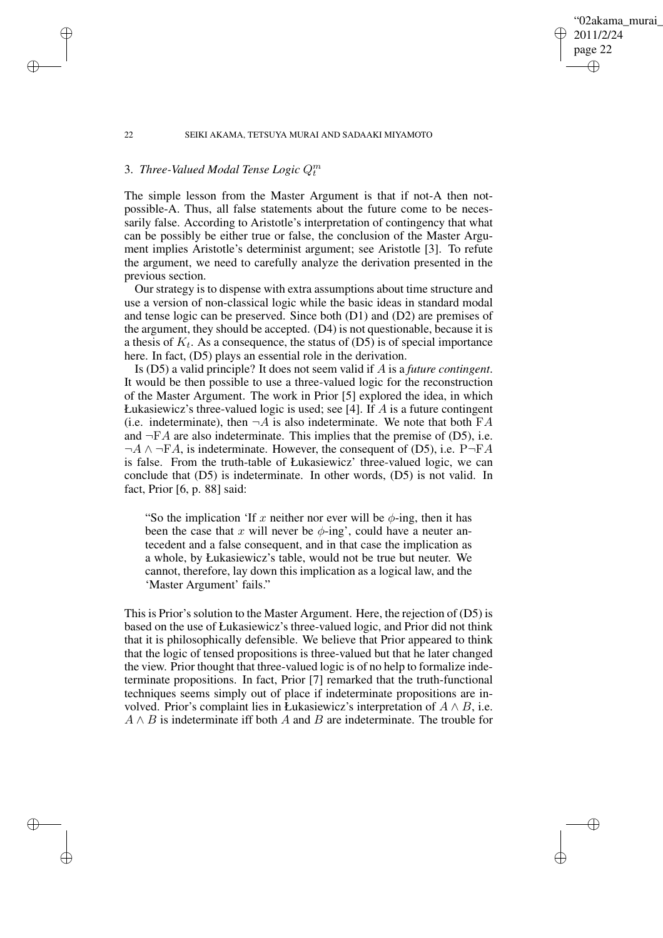# 02akama murai 2011/2/24 page 22 ✐ ✐

✐

✐

### 22 SEIKI AKAMA, TETSUYA MURAI AND SADAAKI MIYAMOTO

# 3. *Three-Valued Modal Tense Logic* Q<sup>m</sup> t

✐

✐

✐

✐

The simple lesson from the Master Argument is that if not-A then notpossible-A. Thus, all false statements about the future come to be necessarily false. According to Aristotle's interpretation of contingency that what can be possibly be either true or false, the conclusion of the Master Argument implies Aristotle's determinist argument; see Aristotle [3]. To refute the argument, we need to carefully analyze the derivation presented in the previous section.

Our strategy is to dispense with extra assumptions about time structure and use a version of non-classical logic while the basic ideas in standard modal and tense logic can be preserved. Since both (D1) and (D2) are premises of the argument, they should be accepted. (D4) is not questionable, because it is a thesis of  $K_t$ . As a consequence, the status of (D5) is of special importance here. In fact, (D5) plays an essential role in the derivation.

Is (D5) a valid principle? It does not seem valid if A is a *future contingent*. It would be then possible to use a three-valued logic for the reconstruction of the Master Argument. The work in Prior [5] explored the idea, in which Łukasiewicz's three-valued logic is used; see [4]. If  $\overline{A}$  is a future contingent (i.e. indeterminate), then  $\neg A$  is also indeterminate. We note that both  $FA$ and  $\neg$ FA are also indeterminate. This implies that the premise of (D5), i.e.  $\neg A \land \neg FA$ , is indeterminate. However, the consequent of (D5), i.e. P $\neg FA$ is false. From the truth-table of Łukasiewicz' three-valued logic, we can conclude that (D5) is indeterminate. In other words, (D5) is not valid. In fact, Prior [6, p. 88] said:

"So the implication 'If x neither nor ever will be  $\phi$ -ing, then it has been the case that x will never be  $\phi$ -ing', could have a neuter antecedent and a false consequent, and in that case the implication as a whole, by Łukasiewicz's table, would not be true but neuter. We cannot, therefore, lay down this implication as a logical law, and the 'Master Argument' fails."

This is Prior's solution to the Master Argument. Here, the rejection of (D5) is based on the use of Łukasiewicz's three-valued logic, and Prior did not think that it is philosophically defensible. We believe that Prior appeared to think that the logic of tensed propositions is three-valued but that he later changed the view. Prior thought that three-valued logic is of no help to formalize indeterminate propositions. In fact, Prior [7] remarked that the truth-functional techniques seems simply out of place if indeterminate propositions are involved. Prior's complaint lies in Łukasiewicz's interpretation of  $A \wedge B$ , i.e.  $A \wedge B$  is indeterminate iff both A and B are indeterminate. The trouble for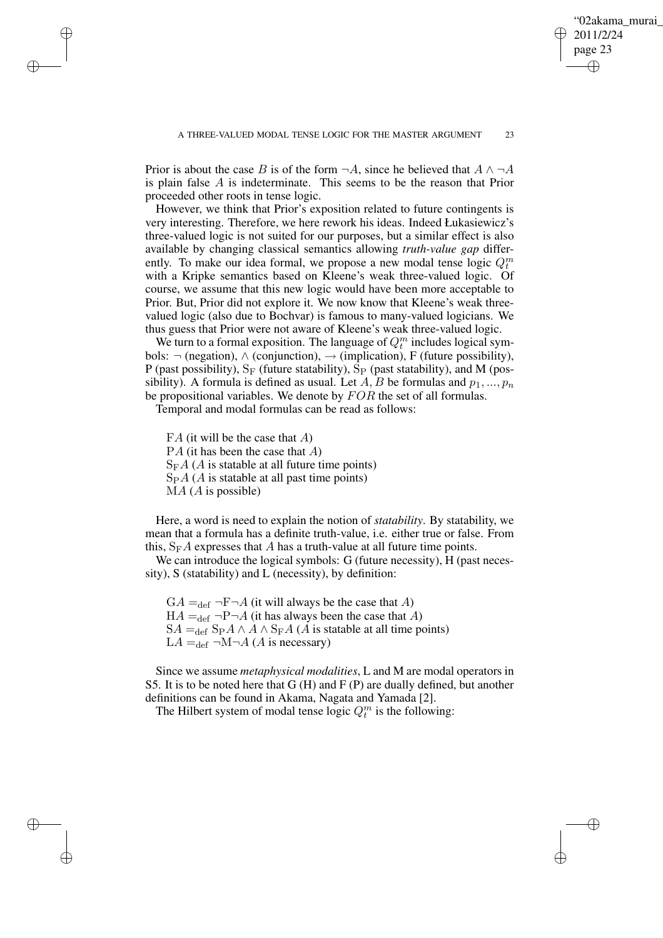✐

Prior is about the case B is of the form  $\neg A$ , since he believed that  $A \wedge \neg A$ is plain false A is indeterminate. This seems to be the reason that Prior proceeded other roots in tense logic.

However, we think that Prior's exposition related to future contingents is very interesting. Therefore, we here rework his ideas. Indeed Łukasiewicz's three-valued logic is not suited for our purposes, but a similar effect is also available by changing classical semantics allowing *truth-value gap* differently. To make our idea formal, we propose a new modal tense logic  $Q_t^m$ with a Kripke semantics based on Kleene's weak three-valued logic. Of course, we assume that this new logic would have been more acceptable to Prior. But, Prior did not explore it. We now know that Kleene's weak threevalued logic (also due to Bochvar) is famous to many-valued logicians. We thus guess that Prior were not aware of Kleene's weak three-valued logic.

We turn to a formal exposition. The language of  $Q_t^m$  includes logical symbols:  $\neg$  (negation),  $\land$  (conjunction),  $\rightarrow$  (implication), F (future possibility), P (past possibility),  $S_F$  (future statability),  $S_P$  (past statability), and M (possibility). A formula is defined as usual. Let A, B be formulas and  $p_1, ..., p_n$ be propositional variables. We denote by  $FOR$  the set of all formulas.

Temporal and modal formulas can be read as follows:

 $FA$  (it will be the case that A)  $PA$  (it has been the case that  $A)$  $S_{F}A$  (A is statable at all future time points)  $SpA (A)$  is statable at all past time points)  $MA (A is possible)$ 

✐

✐

✐

✐

Here, a word is need to explain the notion of *statability*. By statability, we mean that a formula has a definite truth-value, i.e. either true or false. From this,  $S_{F}A$  expresses that A has a truth-value at all future time points.

We can introduce the logical symbols: G (future necessity), H (past necessity), S (statability) and L (necessity), by definition:

 $GA =_{def} \neg F \neg A$  (it will always be the case that A)  $HA =_{def} \neg P \neg A$  (it has always been the case that A)  $SA =_{def}$  S<sub>P</sub>A ∧ A ∧ S<sub>F</sub>A (A is statable at all time points)  $LA =_{def} \neg M \neg A (A \text{ is necessary})$ 

Since we assume *metaphysical modalities*, L and M are modal operators in S5. It is to be noted here that G (H) and F (P) are dually defined, but another definitions can be found in Akama, Nagata and Yamada [2].

The Hilbert system of modal tense logic  $Q_t^m$  is the following: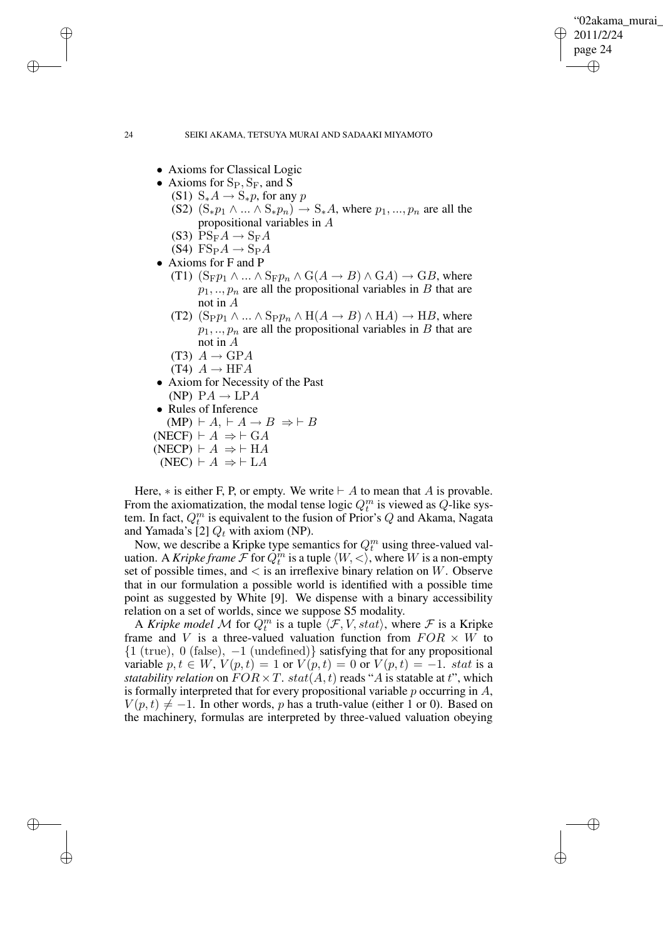✐

#### 24 SEIKI AKAMA, TETSUYA MURAI AND SADAAKI MIYAMOTO

- Axioms for Classical Logic
- Axioms for  $S_P$ ,  $S_F$ , and S
	- (S1)  $S_*A \rightarrow S_*p$ , for any p
	- (S2)  $(S_*p_1 \wedge ... \wedge S_*p_n) \rightarrow S_*A$ , where  $p_1, ..., p_n$  are all the propositional variables in A
	- (S3)  $PS_F A \rightarrow S_F A$
	- $(S4)$  FS<sub>P</sub>A  $\rightarrow$  S<sub>P</sub>A
- Axioms for F and P

✐

✐

✐

✐

- (T1)  $(S_F p_1 \land ... \land S_F p_n \land G(A \rightarrow B) \land G(A) \rightarrow GB$ , where  $p_1, \ldots, p_n$  are all the propositional variables in B that are not in A
- (T2)  $(S_Pp_1 \wedge ... \wedge Spp_n \wedge H(A \rightarrow B) \wedge HA) \rightarrow HB$ , where  $p_1, \ldots, p_n$  are all the propositional variables in B that are not in A
- (T3)  $A \rightarrow GPA$
- (T4)  $A \rightarrow HFA$
- Axiom for Necessity of the Past (NP)  $PA \rightarrow LPA$
- Rules of Inference  $(MP) \vdash A \vdash A \rightarrow B \Rightarrow \vdash B$ (NECF)  $\vdash A \Rightarrow \vdash GA$  $(NECP) \vdash A \Rightarrow \vdash HA$
- $(NEC) \vdash A \Rightarrow \vdash LA$
- 

Here,  $*$  is either F, P, or empty. We write  $\vdash A$  to mean that A is provable. From the axiomatization, the modal tense logic  $Q_t^m$  is viewed as  $Q$ -like system. In fact,  $Q_t^m$  is equivalent to the fusion of Prior's Q and Akama, Nagata and Yamada's [2]  $Q_t$  with axiom (NP).

Now, we describe a Kripke type semantics for  $Q_t^m$  using three-valued valuation. A *Kripke frame*  $\mathcal{F}$  for  $Q_t^m$  is a tuple  $\langle W, \langle \rangle$ , where W is a non-empty set of possible times, and  $\lt$  is an irreflexive binary relation on W. Observe that in our formulation a possible world is identified with a possible time point as suggested by White [9]. We dispense with a binary accessibility relation on a set of worlds, since we suppose S5 modality.

A *Kripke model* M for  $Q_t^m$  is a tuple  $\langle \mathcal{F}, V, stat \rangle$ , where F is a Kripke frame and V is a three-valued valuation function from  $FOR \times W$  to  ${1 (true), 0 (false), -1 (undefined)}$  satisfying that for any propositional variable  $p, t \in W$ ,  $V(p,t) = 1$  or  $V(p,t) = 0$  or  $V(p,t) = -1$ . stat is a *statability relation* on  $FOR \times T$ ,  $stat(A, t)$  reads "A is statable at t", which is formally interpreted that for every propositional variable  $p$  occurring in  $A$ ,  $V(p,t) \neq -1$ . In other words, p has a truth-value (either 1 or 0). Based on the machinery, formulas are interpreted by three-valued valuation obeying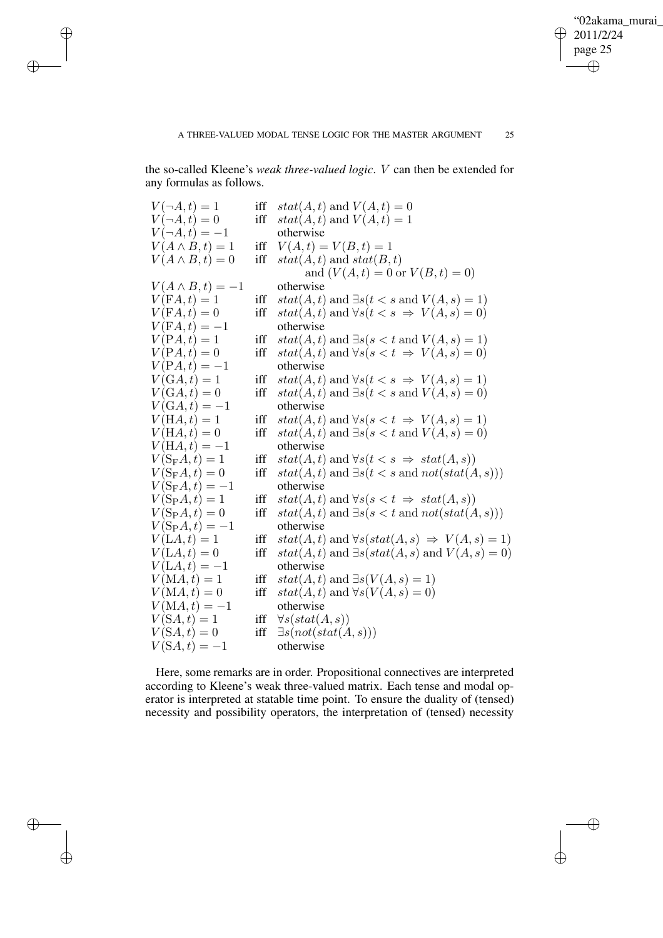$\oplus$ 

the so-called Kleene's *weak three-valued logic*. V can then be extended for any formulas as follows.

 $\bigoplus$ 

✐

 $\bigoplus$ 

✐

| $V(\neg A,t)=1$        | iff | $stat(A, t)$ and $V(A, t) = 0$                                      |
|------------------------|-----|---------------------------------------------------------------------|
| $V(\neg A,t)=0$        | iff | $stat(A, t)$ and $V(A, t) = 1$                                      |
| $V(\neg A, t) = -1$    |     | otherwise                                                           |
| $V(A \wedge B,t) = 1$  | iff | $V(A,t) = V(B,t) = 1$                                               |
| $V(A \wedge B,t) = 0$  | iff | $stat(A, t)$ and $stat(B, t)$                                       |
|                        |     | and $(V(A, t) = 0 \text{ or } V(B, t) = 0)$                         |
| $V(A \wedge B,t) = -1$ |     | otherwise                                                           |
| $V(FA,t)=1$            | iff | $stat(A, t)$ and $\exists s(t \leq s \text{ and } V(A, s) = 1)$     |
| $V(FA,t)=0$            | iff | $stat(A, t)$ and $\forall s(t \leq s \Rightarrow V(A, s) = 0)$      |
| $V(FA,t) = -1$         |     | otherwise                                                           |
| $V(PA,t)=1$            | iff | $stat(A, t)$ and $\exists s(s < t \text{ and } V(A, s) = 1)$        |
| $V(PA,t)=0$            | iff | $stat(A, t)$ and $\forall s(s < t \Rightarrow V(A, s) = 0)$         |
| $V(PA,t) = -1$         |     | otherwise                                                           |
| $V(GA,t)=1$            | iff | $stat(A, t)$ and $\forall s(t \leq s \Rightarrow V(A, s) = 1)$      |
| $V(GA,t)=0$            | iff | $stat(A, t)$ and $\exists s(t \leq s \text{ and } V(A, s) = 0)$     |
| $V(GA,t) = -1$         |     | otherwise                                                           |
| $V(HA,t)=1$            | iff | $stat(A, t)$ and $\forall s(s < t \Rightarrow V(A, s) = 1)$         |
| $V(HA,t)=0$            | iff | $stat(A, t)$ and $\exists s(s < t \text{ and } V(A, s) = 0)$        |
| $V(HA,t) = -1$         |     | otherwise                                                           |
| $V(S_{\rm F}A,t)=1$    | iff | $stat(A, t)$ and $\forall s(t \leq s \Rightarrow stat(A, s))$       |
| $V(S_{\rm F}A,t)=0$    | iff | $stat(A, t)$ and $\exists s(t \leq s \text{ and } not(stat(A, s)))$ |
| $V(S_{\rm F}A,t) = -1$ |     | otherwise                                                           |
| $V(S_{\rm P}A,t)=1$    | iff | $stat(A, t)$ and $\forall s(s \leq t \Rightarrow stat(A, s))$       |
| $V(S_{\rm P}A,t)=0$    | iff | $stat(A, t)$ and $\exists s(s < t \text{ and } not(stat(A, s)))$    |
| $V(S_{\rm P}A,t) = -1$ |     | otherwise                                                           |
| $V(LA,t)=1$            | iff | $stat(A, t)$ and $\forall s (stat(A, s) \Rightarrow V(A, s) = 1)$   |
| $V(LA,t)=0$            | iff | $stat(A, t)$ and $\exists s (stat(A, s)$ and $V(A, s) = 0)$         |
| $V(LA, t) = -1$        |     | otherwise                                                           |
| $V(MA,t)=1$            | iff | $stat(A, t)$ and $\exists s(V(A, s) = 1)$                           |
| $V(MA,t)=0$            | iff | $stat(A, t)$ and $\forall s(V(A, s) = 0)$                           |
| $V(MA,t) = -1$         |     | otherwise                                                           |
| $V(SA, t) = 1$         | iff | $\forall s (stat(A, s))$                                            |
| $V(SA,t)=0$            | iff | $\exists s (not (stat(A, s)))$                                      |
| $V(SA,t) = -1$         |     | otherwise                                                           |
|                        |     |                                                                     |

Here, some remarks are in order. Propositional connectives are interpreted according to Kleene's weak three-valued matrix. Each tense and modal operator is interpreted at statable time point. To ensure the duality of (tensed) necessity and possibility operators, the interpretation of (tensed) necessity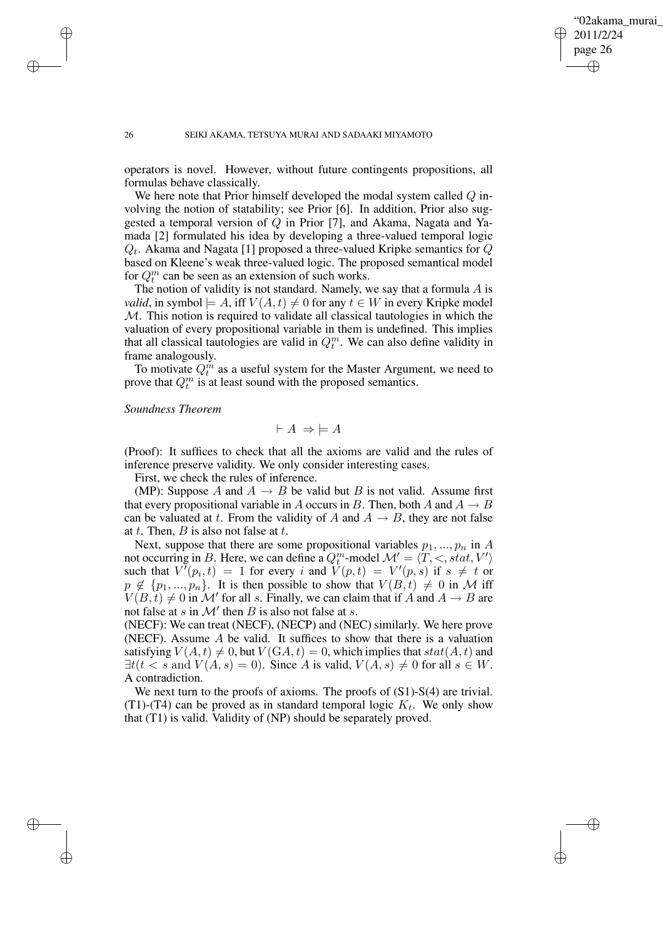✐

#### 26 SEIKI AKAMA, TETSUYA MURAI AND SADAAKI MIYAMOTO

operators is novel. However, without future contingents propositions, all formulas behave classically.

We here note that Prior himself developed the modal system called  $Q$  involving the notion of statability; see Prior [6]. In addition, Prior also suggested a temporal version of Q in Prior [7], and Akama, Nagata and Yamada [2] formulated his idea by developing a three-valued temporal logic  $Q_t$ . Akama and Nagata [1] proposed a three-valued Kripke semantics for  $Q$ based on Kleene's weak three-valued logic. The proposed semantical model for  $Q_t^m$  can be seen as an extension of such works.

The notion of validity is not standard. Namely, we say that a formula  $A$  is *valid*, in symbol  $\models A$ , iff  $V(A, t) \neq 0$  for any  $t \in W$  in every Kripke model M. This notion is required to validate all classical tautologies in which the valuation of every propositional variable in them is undefined. This implies that all classical tautologies are valid in  $Q_t^m$ . We can also define validity in frame analogously.

To motivate  $Q_t^m$  as a useful system for the Master Argument, we need to prove that  $Q_t^m$  is at least sound with the proposed semantics.

*Soundness Theorem*

$$
\vdash A \Rightarrow \models A
$$

(Proof): It suffices to check that all the axioms are valid and the rules of inference preserve validity. We only consider interesting cases.

First, we check the rules of inference.

(MP): Suppose A and  $A \rightarrow B$  be valid but B is not valid. Assume first that every propositional variable in A occurs in B. Then, both A and  $A \rightarrow B$ can be valuated at t. From the validity of A and  $A \rightarrow B$ , they are not false at t. Then,  $B$  is also not false at t.

Next, suppose that there are some propositional variables  $p_1, ..., p_n$  in A not occurring in B. Here, we can define a  $Q_t^m$ -model  $\mathcal{M}' = \langle T, \langle \cdot, \cdot \rangle \rangle$ such that  $V^{(n)}(p_i,t) = 1$  for every i and  $V(p,t) = V'(p,s)$  if  $s \neq t$  or  $p \notin \{p_1, ..., p_n\}$ . It is then possible to show that  $V(B, t) \neq 0$  in M iff  $V(B,t) \neq 0$  in M' for all s. Finally, we can claim that if A and  $A \rightarrow B$  are not false at s in  $\mathcal{M}'$  then B is also not false at s.

(NECF): We can treat (NECF), (NECP) and (NEC) similarly. We here prove (NECF). Assume  $A$  be valid. It suffices to show that there is a valuation satisfying  $V(A, t) \neq 0$ , but  $V(GA, t) = 0$ , which implies that  $stat(A, t)$  and  $\exists t(t \leq s \text{ and } V(A, s) = 0)$ . Since A is valid,  $V(A, s) \neq 0$  for all  $s \in W$ . A contradiction.

We next turn to the proofs of axioms. The proofs of  $(S1)$ -S(4) are trivial. (T1)-(T4) can be proved as in standard temporal logic  $K_t$ . We only show that (T1) is valid. Validity of (NP) should be separately proved.

✐

✐

✐

✐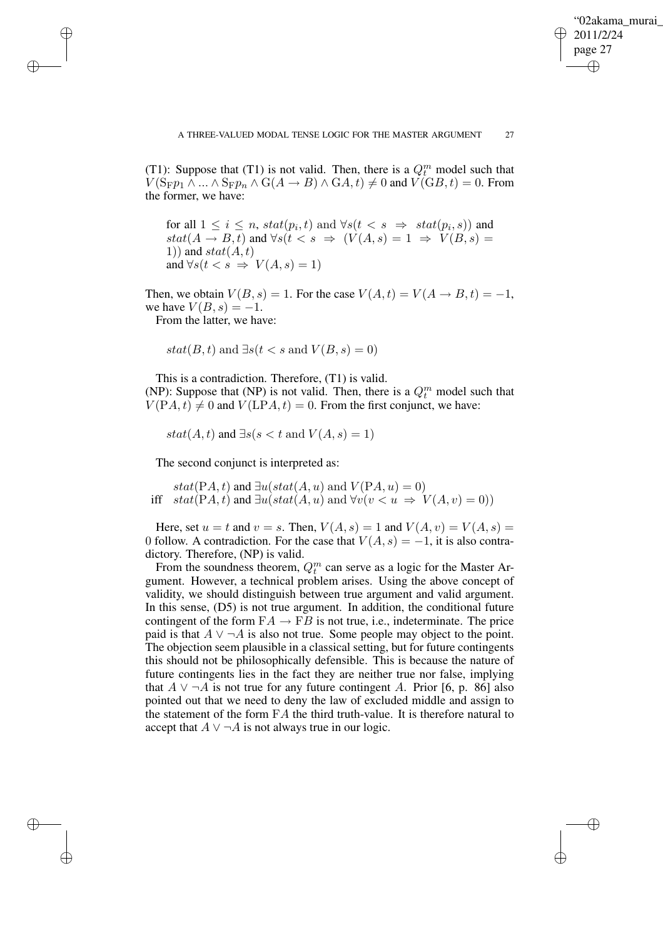✐

(T1): Suppose that (T1) is not valid. Then, there is a  $Q_t^m$  model such that  $V(S_Fp_1 \wedge ... \wedge S_Fp_n \wedge G(A \rightarrow B) \wedge G(A, t) \neq 0$  and  $V(GB, t) = 0$ . From the former, we have:

for all  $1 \leq i \leq n$ ,  $stat(p_i, t)$  and  $\forall s(t \lt s \Rightarrow stat(p_i, s))$  and  $stat(A \rightarrow B, t)$  and  $\forall s(t \leq s \Rightarrow (V(A, s) = 1 \Rightarrow V(B, s))$ 1)) and  $stat(A,t)$ and  $\forall s(t \leq s \Rightarrow V(A,s) = 1)$ 

Then, we obtain  $V(B, s) = 1$ . For the case  $V(A, t) = V(A \rightarrow B, t) = -1$ , we have  $V(B, s) = -1$ .

From the latter, we have:

✐

✐

✐

✐

 $stat(B, t)$  and  $\exists s(t \leq s \text{ and } V(B, s) = 0)$ 

This is a contradiction. Therefore, (T1) is valid. (NP): Suppose that (NP) is not valid. Then, there is a  $Q_t^m$  model such that  $V(PA, t) \neq 0$  and  $V(LPA, t) = 0$ . From the first conjunct, we have:

 $stat(A, t)$  and  $\exists s(s < t \text{ and } V(A, s) = 1)$ 

The second conjunct is interpreted as:

stat(PA, t) and  $\exists u (stat(A, u) \text{ and } V(PA, u) = 0)$ iff  $stat(PA, t)$  and  $\exists u (stat(A, u)$  and  $\forall v (v \leq u \Rightarrow V(A, v) = 0))$ 

Here, set  $u = t$  and  $v = s$ . Then,  $V(A, s) = 1$  and  $V(A, v) = V(A, s) =$ 0 follow. A contradiction. For the case that  $V(A, s) = -1$ , it is also contradictory. Therefore, (NP) is valid.

From the soundness theorem,  $Q_t^m$  can serve as a logic for the Master Argument. However, a technical problem arises. Using the above concept of validity, we should distinguish between true argument and valid argument. In this sense, (D5) is not true argument. In addition, the conditional future contingent of the form  $FA \rightarrow FB$  is not true, i.e., indeterminate. The price paid is that  $A \vee \neg A$  is also not true. Some people may object to the point. The objection seem plausible in a classical setting, but for future contingents this should not be philosophically defensible. This is because the nature of future contingents lies in the fact they are neither true nor false, implying that  $A \vee \neg A$  is not true for any future contingent A. Prior [6, p. 86] also pointed out that we need to deny the law of excluded middle and assign to the statement of the form  $FA$  the third truth-value. It is therefore natural to accept that  $A \vee \neg A$  is not always true in our logic.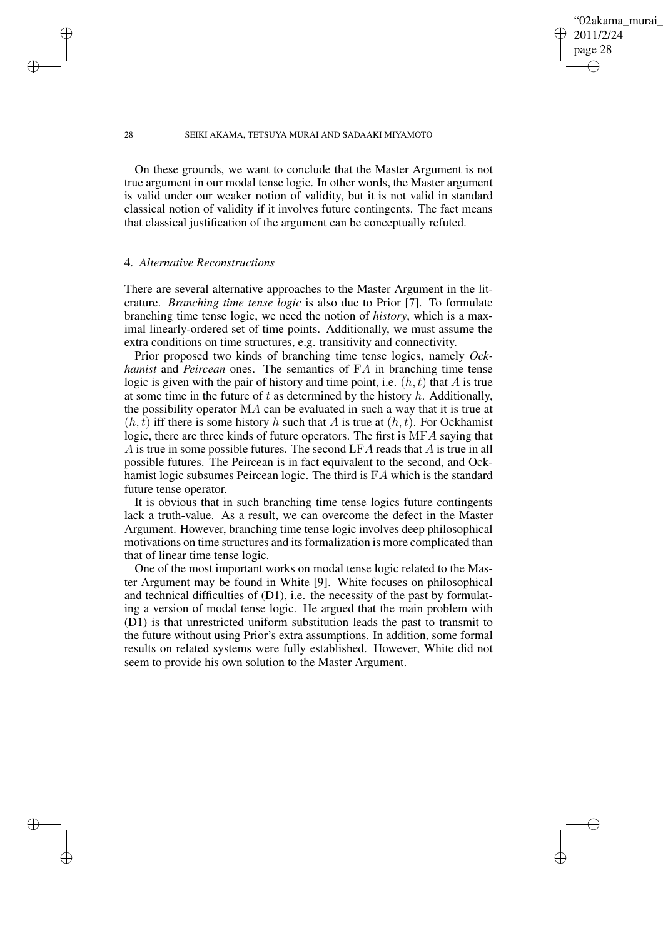## 02akama murai 2011/2/24 page 28 ✐ ✐

✐

✐

#### 28 SEIKI AKAMA, TETSUYA MURAI AND SADAAKI MIYAMOTO

On these grounds, we want to conclude that the Master Argument is not true argument in our modal tense logic. In other words, the Master argument is valid under our weaker notion of validity, but it is not valid in standard classical notion of validity if it involves future contingents. The fact means that classical justification of the argument can be conceptually refuted.

# 4. *Alternative Reconstructions*

✐

✐

✐

✐

There are several alternative approaches to the Master Argument in the literature. *Branching time tense logic* is also due to Prior [7]. To formulate branching time tense logic, we need the notion of *history*, which is a maximal linearly-ordered set of time points. Additionally, we must assume the extra conditions on time structures, e.g. transitivity and connectivity.

Prior proposed two kinds of branching time tense logics, namely *Ockhamist* and *Peircean* ones. The semantics of FA in branching time tense logic is given with the pair of history and time point, i.e.  $(h, t)$  that A is true at some time in the future of  $t$  as determined by the history  $h$ . Additionally, the possibility operator MA can be evaluated in such a way that it is true at  $(h, t)$  iff there is some history h such that A is true at  $(h, t)$ . For Ockhamist logic, there are three kinds of future operators. The first is MFA saying that A is true in some possible futures. The second LFA reads that A is true in all possible futures. The Peircean is in fact equivalent to the second, and Ockhamist logic subsumes Peircean logic. The third is FA which is the standard future tense operator.

It is obvious that in such branching time tense logics future contingents lack a truth-value. As a result, we can overcome the defect in the Master Argument. However, branching time tense logic involves deep philosophical motivations on time structures and its formalization is more complicated than that of linear time tense logic.

One of the most important works on modal tense logic related to the Master Argument may be found in White [9]. White focuses on philosophical and technical difficulties of (D1), i.e. the necessity of the past by formulating a version of modal tense logic. He argued that the main problem with (D1) is that unrestricted uniform substitution leads the past to transmit to the future without using Prior's extra assumptions. In addition, some formal results on related systems were fully established. However, White did not seem to provide his own solution to the Master Argument.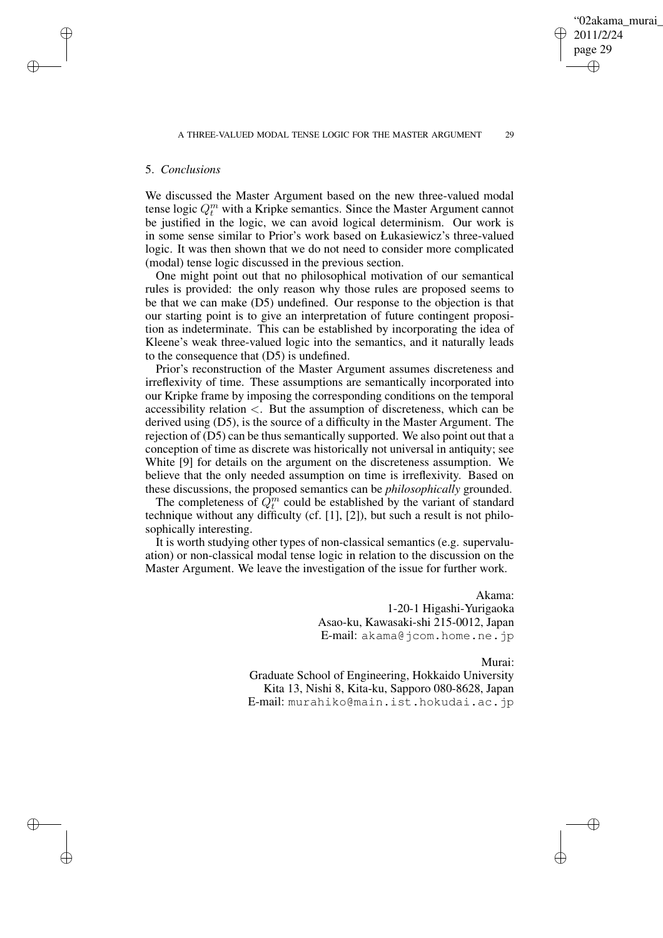#### 5. *Conclusions*

We discussed the Master Argument based on the new three-valued modal tense logic  $Q_t^m$  with a Kripke semantics. Since the Master Argument cannot be justified in the logic, we can avoid logical determinism. Our work is in some sense similar to Prior's work based on Łukasiewicz's three-valued logic. It was then shown that we do not need to consider more complicated (modal) tense logic discussed in the previous section.

One might point out that no philosophical motivation of our semantical rules is provided: the only reason why those rules are proposed seems to be that we can make (D5) undefined. Our response to the objection is that our starting point is to give an interpretation of future contingent proposition as indeterminate. This can be established by incorporating the idea of Kleene's weak three-valued logic into the semantics, and it naturally leads to the consequence that (D5) is undefined.

Prior's reconstruction of the Master Argument assumes discreteness and irreflexivity of time. These assumptions are semantically incorporated into our Kripke frame by imposing the corresponding conditions on the temporal accessibility relation  $\lt$ . But the assumption of discreteness, which can be derived using (D5), is the source of a difficulty in the Master Argument. The rejection of (D5) can be thus semantically supported. We also point out that a conception of time as discrete was historically not universal in antiquity; see White [9] for details on the argument on the discreteness assumption. We believe that the only needed assumption on time is irreflexivity. Based on these discussions, the proposed semantics can be *philosophically* grounded.

The completeness of  $Q_t^m$  could be established by the variant of standard technique without any difficulty (cf. [1], [2]), but such a result is not philosophically interesting.

It is worth studying other types of non-classical semantics (e.g. supervaluation) or non-classical modal tense logic in relation to the discussion on the Master Argument. We leave the investigation of the issue for further work.

> Akama: 1-20-1 Higashi-Yurigaoka Asao-ku, Kawasaki-shi 215-0012, Japan E-mail: akama@jcom.home.ne.jp

> > Murai:

✐

✐

Graduate School of Engineering, Hokkaido University Kita 13, Nishi 8, Kita-ku, Sapporo 080-8628, Japan E-mail: murahiko@main.ist.hokudai.ac.jp

✐

✐

✐

✐